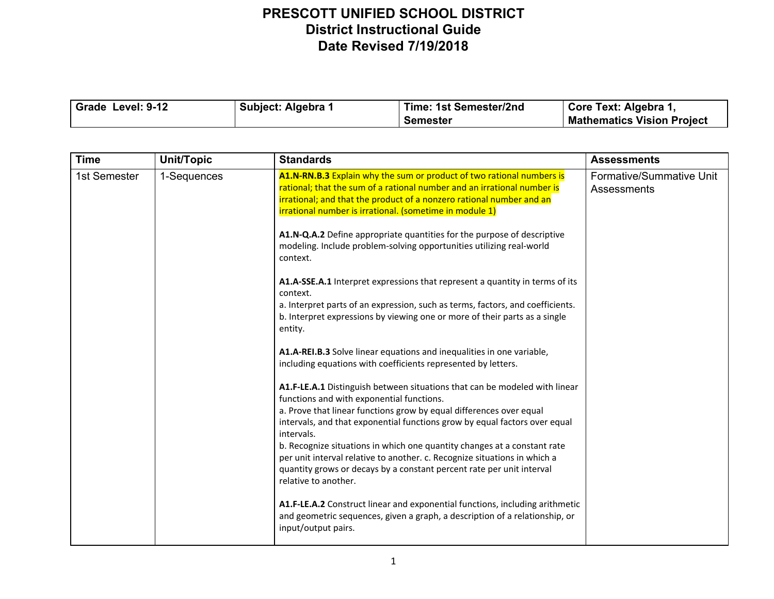| Grade Level: 9-12 | Subject: Algebra 1 | Time: 1st Semester/2nd | □ Core Text: Algebra 1,           |
|-------------------|--------------------|------------------------|-----------------------------------|
|                   |                    | Semester               | <b>Mathematics Vision Project</b> |

| <b>Time</b>  | Unit/Topic  | <b>Standards</b>                                                                                                                                                                                                                                                                    | <b>Assessments</b>                      |
|--------------|-------------|-------------------------------------------------------------------------------------------------------------------------------------------------------------------------------------------------------------------------------------------------------------------------------------|-----------------------------------------|
| 1st Semester | 1-Sequences | A1.N-RN.B.3 Explain why the sum or product of two rational numbers is<br>rational; that the sum of a rational number and an irrational number is<br>irrational; and that the product of a nonzero rational number and an<br>irrational number is irrational. (sometime in module 1) | Formative/Summative Unit<br>Assessments |
|              |             | A1.N-Q.A.2 Define appropriate quantities for the purpose of descriptive<br>modeling. Include problem-solving opportunities utilizing real-world<br>context.                                                                                                                         |                                         |
|              |             | A1.A-SSE.A.1 Interpret expressions that represent a quantity in terms of its<br>context.                                                                                                                                                                                            |                                         |
|              |             | a. Interpret parts of an expression, such as terms, factors, and coefficients.<br>b. Interpret expressions by viewing one or more of their parts as a single<br>entity.                                                                                                             |                                         |
|              |             | A1.A-REI.B.3 Solve linear equations and inequalities in one variable,<br>including equations with coefficients represented by letters.                                                                                                                                              |                                         |
|              |             | A1.F-LE.A.1 Distinguish between situations that can be modeled with linear<br>functions and with exponential functions.                                                                                                                                                             |                                         |
|              |             | a. Prove that linear functions grow by equal differences over equal<br>intervals, and that exponential functions grow by equal factors over equal<br>intervals.                                                                                                                     |                                         |
|              |             | b. Recognize situations in which one quantity changes at a constant rate<br>per unit interval relative to another. c. Recognize situations in which a                                                                                                                               |                                         |
|              |             | quantity grows or decays by a constant percent rate per unit interval<br>relative to another.                                                                                                                                                                                       |                                         |
|              |             | A1.F-LE.A.2 Construct linear and exponential functions, including arithmetic<br>and geometric sequences, given a graph, a description of a relationship, or<br>input/output pairs.                                                                                                  |                                         |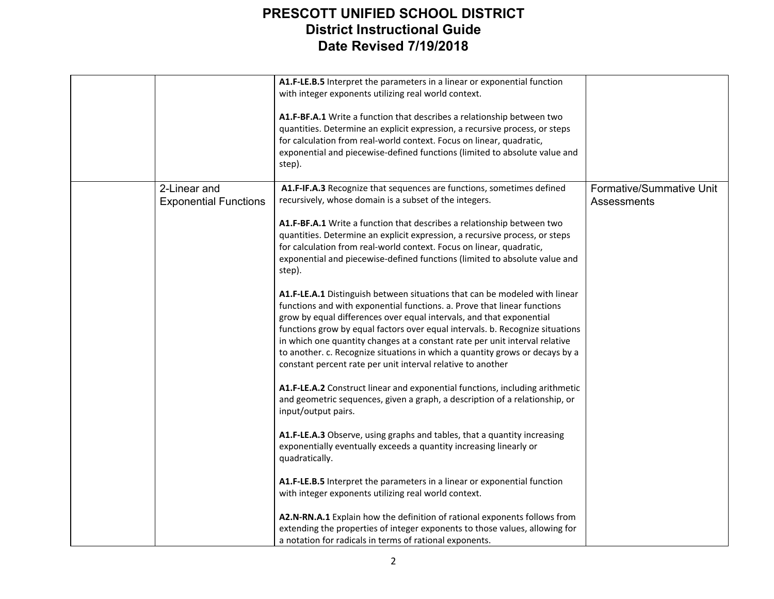|                              | A1.F-LE.B.5 Interpret the parameters in a linear or exponential function<br>with integer exponents utilizing real world context.                                                                                                                                                                                                                                                                                                                                                                                                              |                          |
|------------------------------|-----------------------------------------------------------------------------------------------------------------------------------------------------------------------------------------------------------------------------------------------------------------------------------------------------------------------------------------------------------------------------------------------------------------------------------------------------------------------------------------------------------------------------------------------|--------------------------|
|                              | A1.F-BF.A.1 Write a function that describes a relationship between two<br>quantities. Determine an explicit expression, a recursive process, or steps<br>for calculation from real-world context. Focus on linear, quadratic,<br>exponential and piecewise-defined functions (limited to absolute value and<br>step).                                                                                                                                                                                                                         |                          |
| 2-Linear and                 | A1.F-IF.A.3 Recognize that sequences are functions, sometimes defined                                                                                                                                                                                                                                                                                                                                                                                                                                                                         | Formative/Summative Unit |
| <b>Exponential Functions</b> | recursively, whose domain is a subset of the integers.                                                                                                                                                                                                                                                                                                                                                                                                                                                                                        | Assessments              |
|                              | A1.F-BF.A.1 Write a function that describes a relationship between two<br>quantities. Determine an explicit expression, a recursive process, or steps<br>for calculation from real-world context. Focus on linear, quadratic,<br>exponential and piecewise-defined functions (limited to absolute value and<br>step).                                                                                                                                                                                                                         |                          |
|                              | A1.F-LE.A.1 Distinguish between situations that can be modeled with linear<br>functions and with exponential functions. a. Prove that linear functions<br>grow by equal differences over equal intervals, and that exponential<br>functions grow by equal factors over equal intervals. b. Recognize situations<br>in which one quantity changes at a constant rate per unit interval relative<br>to another. c. Recognize situations in which a quantity grows or decays by a<br>constant percent rate per unit interval relative to another |                          |
|                              | A1.F-LE.A.2 Construct linear and exponential functions, including arithmetic<br>and geometric sequences, given a graph, a description of a relationship, or<br>input/output pairs.                                                                                                                                                                                                                                                                                                                                                            |                          |
|                              | A1.F-LE.A.3 Observe, using graphs and tables, that a quantity increasing<br>exponentially eventually exceeds a quantity increasing linearly or<br>quadratically.                                                                                                                                                                                                                                                                                                                                                                              |                          |
|                              | A1.F-LE.B.5 Interpret the parameters in a linear or exponential function<br>with integer exponents utilizing real world context.                                                                                                                                                                                                                                                                                                                                                                                                              |                          |
|                              | A2.N-RN.A.1 Explain how the definition of rational exponents follows from<br>extending the properties of integer exponents to those values, allowing for<br>a notation for radicals in terms of rational exponents.                                                                                                                                                                                                                                                                                                                           |                          |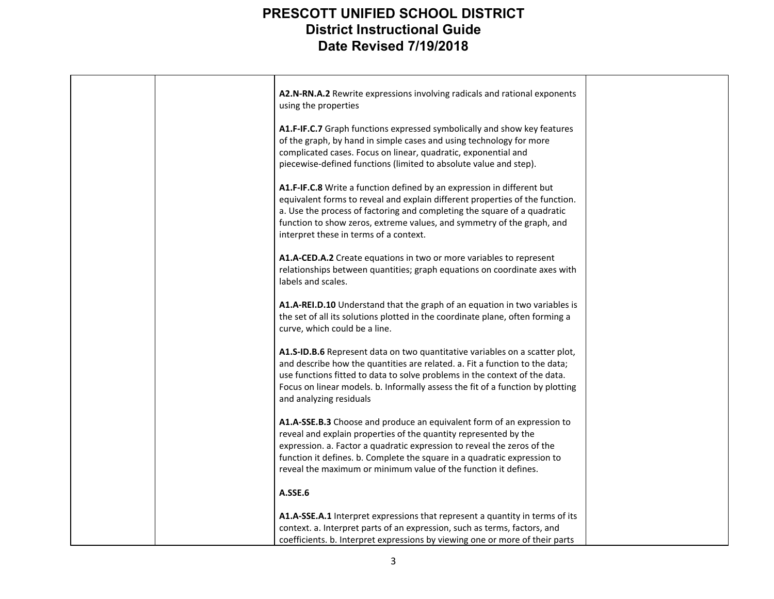|  | A2.N-RN.A.2 Rewrite expressions involving radicals and rational exponents<br>using the properties                                                                                                                                                                                                                                                                    |  |
|--|----------------------------------------------------------------------------------------------------------------------------------------------------------------------------------------------------------------------------------------------------------------------------------------------------------------------------------------------------------------------|--|
|  | A1.F-IF.C.7 Graph functions expressed symbolically and show key features<br>of the graph, by hand in simple cases and using technology for more<br>complicated cases. Focus on linear, quadratic, exponential and<br>piecewise-defined functions (limited to absolute value and step).                                                                               |  |
|  | A1.F-IF.C.8 Write a function defined by an expression in different but<br>equivalent forms to reveal and explain different properties of the function.<br>a. Use the process of factoring and completing the square of a quadratic<br>function to show zeros, extreme values, and symmetry of the graph, and<br>interpret these in terms of a context.               |  |
|  | A1.A-CED.A.2 Create equations in two or more variables to represent<br>relationships between quantities; graph equations on coordinate axes with<br>labels and scales.                                                                                                                                                                                               |  |
|  | A1.A-REI.D.10 Understand that the graph of an equation in two variables is<br>the set of all its solutions plotted in the coordinate plane, often forming a<br>curve, which could be a line.                                                                                                                                                                         |  |
|  | A1.S-ID.B.6 Represent data on two quantitative variables on a scatter plot,<br>and describe how the quantities are related. a. Fit a function to the data;<br>use functions fitted to data to solve problems in the context of the data.<br>Focus on linear models. b. Informally assess the fit of a function by plotting<br>and analyzing residuals                |  |
|  | A1.A-SSE.B.3 Choose and produce an equivalent form of an expression to<br>reveal and explain properties of the quantity represented by the<br>expression. a. Factor a quadratic expression to reveal the zeros of the<br>function it defines. b. Complete the square in a quadratic expression to<br>reveal the maximum or minimum value of the function it defines. |  |
|  | A.SSE.6                                                                                                                                                                                                                                                                                                                                                              |  |
|  | A1.A-SSE.A.1 Interpret expressions that represent a quantity in terms of its<br>context. a. Interpret parts of an expression, such as terms, factors, and<br>coefficients. b. Interpret expressions by viewing one or more of their parts                                                                                                                            |  |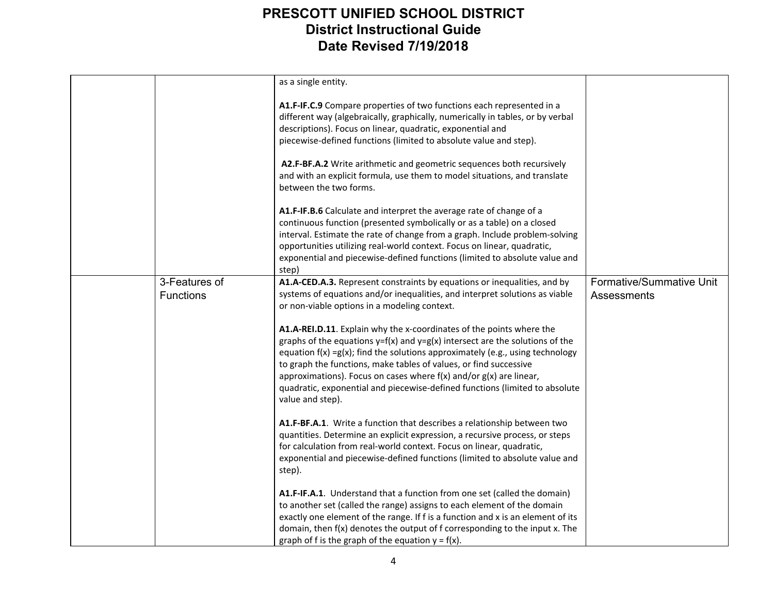|                                   | as a single entity.                                                                                                                                                                                                                                                                                                                                                                                                                                                                         |                                         |
|-----------------------------------|---------------------------------------------------------------------------------------------------------------------------------------------------------------------------------------------------------------------------------------------------------------------------------------------------------------------------------------------------------------------------------------------------------------------------------------------------------------------------------------------|-----------------------------------------|
|                                   | A1.F-IF.C.9 Compare properties of two functions each represented in a<br>different way (algebraically, graphically, numerically in tables, or by verbal<br>descriptions). Focus on linear, quadratic, exponential and<br>piecewise-defined functions (limited to absolute value and step).                                                                                                                                                                                                  |                                         |
|                                   | A2.F-BF.A.2 Write arithmetic and geometric sequences both recursively<br>and with an explicit formula, use them to model situations, and translate<br>between the two forms.                                                                                                                                                                                                                                                                                                                |                                         |
|                                   | A1.F-IF.B.6 Calculate and interpret the average rate of change of a<br>continuous function (presented symbolically or as a table) on a closed<br>interval. Estimate the rate of change from a graph. Include problem-solving<br>opportunities utilizing real-world context. Focus on linear, quadratic,<br>exponential and piecewise-defined functions (limited to absolute value and<br>step)                                                                                              |                                         |
| 3-Features of<br><b>Functions</b> | A1.A-CED.A.3. Represent constraints by equations or inequalities, and by<br>systems of equations and/or inequalities, and interpret solutions as viable<br>or non-viable options in a modeling context.                                                                                                                                                                                                                                                                                     | Formative/Summative Unit<br>Assessments |
|                                   | A1.A-REI.D.11. Explain why the x-coordinates of the points where the<br>graphs of the equations $y=f(x)$ and $y=g(x)$ intersect are the solutions of the<br>equation $f(x) = g(x)$ ; find the solutions approximately (e.g., using technology<br>to graph the functions, make tables of values, or find successive<br>approximations). Focus on cases where f(x) and/or g(x) are linear,<br>quadratic, exponential and piecewise-defined functions (limited to absolute<br>value and step). |                                         |
|                                   | A1.F-BF.A.1. Write a function that describes a relationship between two<br>quantities. Determine an explicit expression, a recursive process, or steps<br>for calculation from real-world context. Focus on linear, quadratic,<br>exponential and piecewise-defined functions (limited to absolute value and<br>step).                                                                                                                                                                      |                                         |
|                                   | A1.F-IF.A.1. Understand that a function from one set (called the domain)<br>to another set (called the range) assigns to each element of the domain<br>exactly one element of the range. If f is a function and x is an element of its<br>domain, then f(x) denotes the output of f corresponding to the input x. The<br>graph of f is the graph of the equation $y = f(x)$ .                                                                                                               |                                         |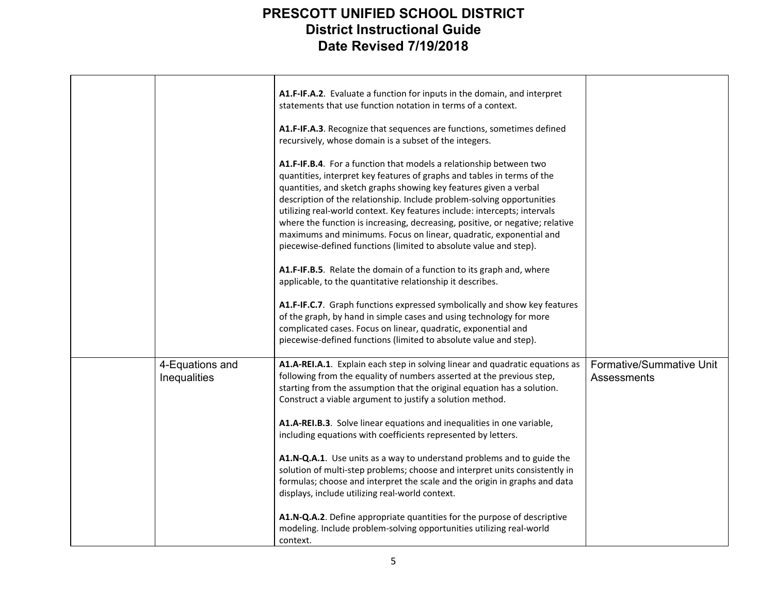|                                 | A1.F-IF.A.2. Evaluate a function for inputs in the domain, and interpret<br>statements that use function notation in terms of a context.                                                                                                                                                                                                                                                                                                                                                                                                                                                              |                                         |
|---------------------------------|-------------------------------------------------------------------------------------------------------------------------------------------------------------------------------------------------------------------------------------------------------------------------------------------------------------------------------------------------------------------------------------------------------------------------------------------------------------------------------------------------------------------------------------------------------------------------------------------------------|-----------------------------------------|
|                                 | A1.F-IF.A.3. Recognize that sequences are functions, sometimes defined<br>recursively, whose domain is a subset of the integers.                                                                                                                                                                                                                                                                                                                                                                                                                                                                      |                                         |
|                                 | A1.F-IF.B.4. For a function that models a relationship between two<br>quantities, interpret key features of graphs and tables in terms of the<br>quantities, and sketch graphs showing key features given a verbal<br>description of the relationship. Include problem-solving opportunities<br>utilizing real-world context. Key features include: intercepts; intervals<br>where the function is increasing, decreasing, positive, or negative; relative<br>maximums and minimums. Focus on linear, quadratic, exponential and<br>piecewise-defined functions (limited to absolute value and step). |                                         |
|                                 | A1.F-IF.B.5. Relate the domain of a function to its graph and, where<br>applicable, to the quantitative relationship it describes.                                                                                                                                                                                                                                                                                                                                                                                                                                                                    |                                         |
|                                 | A1.F-IF.C.7. Graph functions expressed symbolically and show key features<br>of the graph, by hand in simple cases and using technology for more<br>complicated cases. Focus on linear, quadratic, exponential and<br>piecewise-defined functions (limited to absolute value and step).                                                                                                                                                                                                                                                                                                               |                                         |
| 4-Equations and<br>Inequalities | A1.A-REI.A.1. Explain each step in solving linear and quadratic equations as<br>following from the equality of numbers asserted at the previous step,<br>starting from the assumption that the original equation has a solution.<br>Construct a viable argument to justify a solution method.                                                                                                                                                                                                                                                                                                         | Formative/Summative Unit<br>Assessments |
|                                 | A1.A-REI.B.3. Solve linear equations and inequalities in one variable,<br>including equations with coefficients represented by letters.                                                                                                                                                                                                                                                                                                                                                                                                                                                               |                                         |
|                                 | A1.N-Q.A.1. Use units as a way to understand problems and to guide the<br>solution of multi-step problems; choose and interpret units consistently in<br>formulas; choose and interpret the scale and the origin in graphs and data<br>displays, include utilizing real-world context.                                                                                                                                                                                                                                                                                                                |                                         |
|                                 | A1.N-Q.A.2. Define appropriate quantities for the purpose of descriptive<br>modeling. Include problem-solving opportunities utilizing real-world<br>context.                                                                                                                                                                                                                                                                                                                                                                                                                                          |                                         |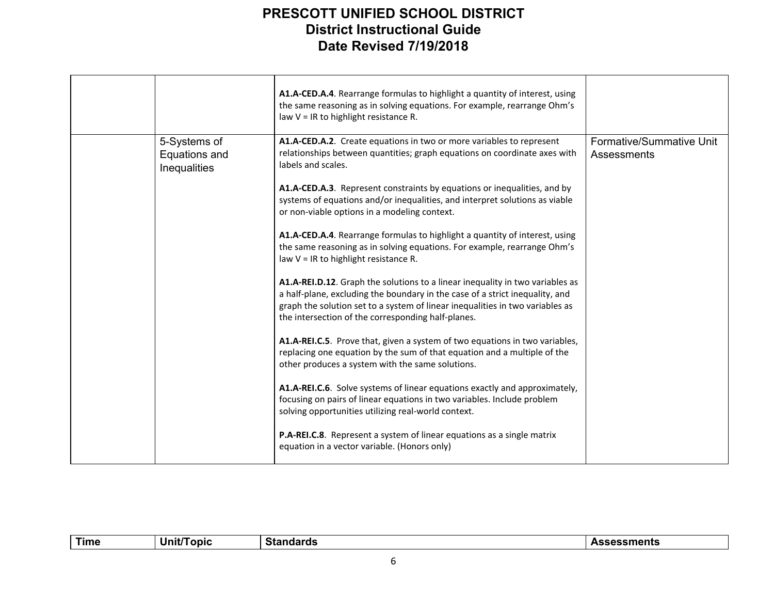|                                               | A1.A-CED.A.4. Rearrange formulas to highlight a quantity of interest, using<br>the same reasoning as in solving equations. For example, rearrange Ohm's<br>law $V = IR$ to highlight resistance R.                                                                                                   |                                         |
|-----------------------------------------------|------------------------------------------------------------------------------------------------------------------------------------------------------------------------------------------------------------------------------------------------------------------------------------------------------|-----------------------------------------|
| 5-Systems of<br>Equations and<br>Inequalities | A1.A-CED.A.2. Create equations in two or more variables to represent<br>relationships between quantities; graph equations on coordinate axes with<br>labels and scales.                                                                                                                              | Formative/Summative Unit<br>Assessments |
|                                               | A1.A-CED.A.3. Represent constraints by equations or inequalities, and by<br>systems of equations and/or inequalities, and interpret solutions as viable<br>or non-viable options in a modeling context.                                                                                              |                                         |
|                                               | A1.A-CED.A.4. Rearrange formulas to highlight a quantity of interest, using<br>the same reasoning as in solving equations. For example, rearrange Ohm's<br>law $V = IR$ to highlight resistance R.                                                                                                   |                                         |
|                                               | A1.A-REI.D.12. Graph the solutions to a linear inequality in two variables as<br>a half-plane, excluding the boundary in the case of a strict inequality, and<br>graph the solution set to a system of linear inequalities in two variables as<br>the intersection of the corresponding half-planes. |                                         |
|                                               | A1.A-REI.C.5. Prove that, given a system of two equations in two variables,<br>replacing one equation by the sum of that equation and a multiple of the<br>other produces a system with the same solutions.                                                                                          |                                         |
|                                               | A1.A-REI.C.6. Solve systems of linear equations exactly and approximately,<br>focusing on pairs of linear equations in two variables. Include problem<br>solving opportunities utilizing real-world context.                                                                                         |                                         |
|                                               | P.A-REI.C.8. Represent a system of linear equations as a single matrix<br>equation in a vector variable. (Honors only)                                                                                                                                                                               |                                         |

| - - - -<br>ini.<br>onic<br>┓╻<br>. .<br>шь<br>. . |  | Time |  |  |  |
|---------------------------------------------------|--|------|--|--|--|
|---------------------------------------------------|--|------|--|--|--|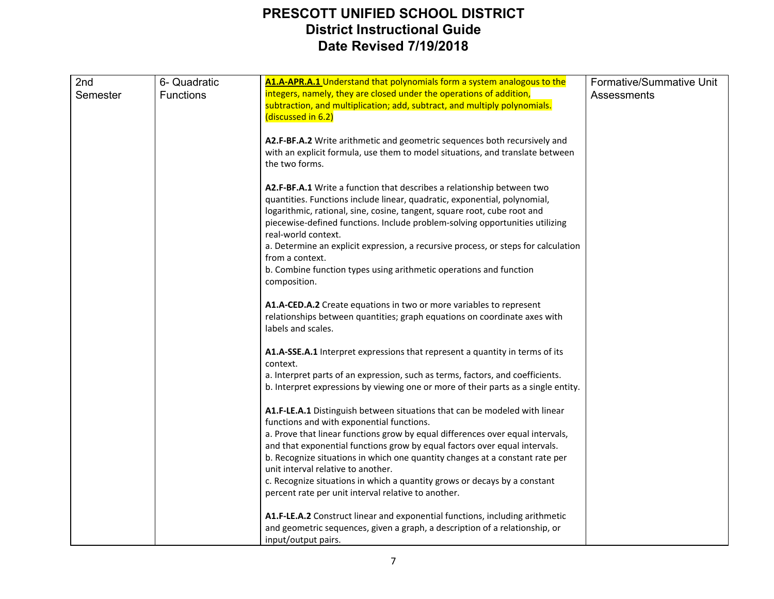| 2nd      | 6- Quadratic     | A1.A-APR.A.1 Understand that polynomials form a system analogous to the                                                                                                                                                                                                                                                                | Formative/Summative Unit |
|----------|------------------|----------------------------------------------------------------------------------------------------------------------------------------------------------------------------------------------------------------------------------------------------------------------------------------------------------------------------------------|--------------------------|
| Semester | <b>Functions</b> | integers, namely, they are closed under the operations of addition,<br>subtraction, and multiplication; add, subtract, and multiply polynomials.<br>(discussed in 6.2)                                                                                                                                                                 | Assessments              |
|          |                  |                                                                                                                                                                                                                                                                                                                                        |                          |
|          |                  | A2.F-BF.A.2 Write arithmetic and geometric sequences both recursively and<br>with an explicit formula, use them to model situations, and translate between<br>the two forms.                                                                                                                                                           |                          |
|          |                  | A2.F-BF.A.1 Write a function that describes a relationship between two<br>quantities. Functions include linear, quadratic, exponential, polynomial,<br>logarithmic, rational, sine, cosine, tangent, square root, cube root and<br>piecewise-defined functions. Include problem-solving opportunities utilizing<br>real-world context. |                          |
|          |                  | a. Determine an explicit expression, a recursive process, or steps for calculation<br>from a context.                                                                                                                                                                                                                                  |                          |
|          |                  | b. Combine function types using arithmetic operations and function<br>composition.                                                                                                                                                                                                                                                     |                          |
|          |                  | A1.A-CED.A.2 Create equations in two or more variables to represent<br>relationships between quantities; graph equations on coordinate axes with<br>labels and scales.                                                                                                                                                                 |                          |
|          |                  | A1.A-SSE.A.1 Interpret expressions that represent a quantity in terms of its<br>context.                                                                                                                                                                                                                                               |                          |
|          |                  | a. Interpret parts of an expression, such as terms, factors, and coefficients.<br>b. Interpret expressions by viewing one or more of their parts as a single entity.                                                                                                                                                                   |                          |
|          |                  | A1.F-LE.A.1 Distinguish between situations that can be modeled with linear<br>functions and with exponential functions.                                                                                                                                                                                                                |                          |
|          |                  | a. Prove that linear functions grow by equal differences over equal intervals,                                                                                                                                                                                                                                                         |                          |
|          |                  | and that exponential functions grow by equal factors over equal intervals.<br>b. Recognize situations in which one quantity changes at a constant rate per                                                                                                                                                                             |                          |
|          |                  | unit interval relative to another.<br>c. Recognize situations in which a quantity grows or decays by a constant                                                                                                                                                                                                                        |                          |
|          |                  | percent rate per unit interval relative to another.                                                                                                                                                                                                                                                                                    |                          |
|          |                  | A1.F-LE.A.2 Construct linear and exponential functions, including arithmetic<br>and geometric sequences, given a graph, a description of a relationship, or<br>input/output pairs.                                                                                                                                                     |                          |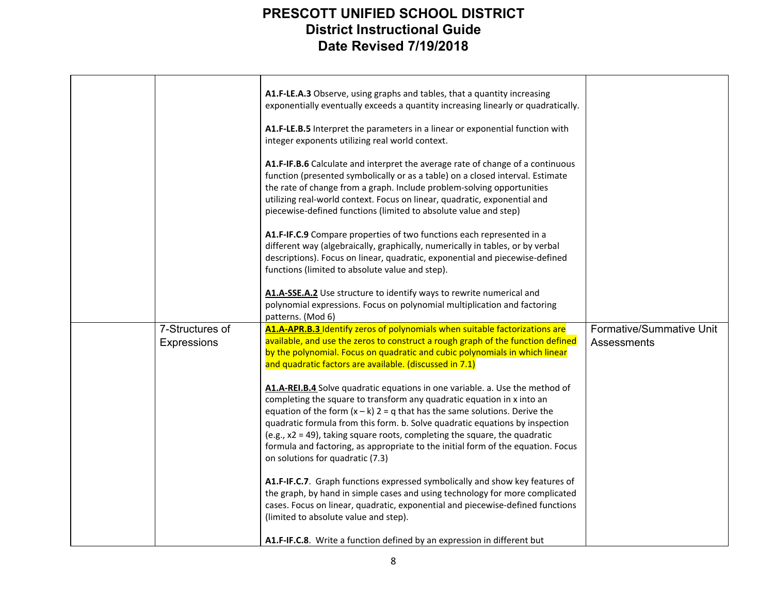|                                | A1.F-LE.A.3 Observe, using graphs and tables, that a quantity increasing<br>exponentially eventually exceeds a quantity increasing linearly or quadratically.                                                                                                                                                                                                                                                                                                                                                                |                                         |
|--------------------------------|------------------------------------------------------------------------------------------------------------------------------------------------------------------------------------------------------------------------------------------------------------------------------------------------------------------------------------------------------------------------------------------------------------------------------------------------------------------------------------------------------------------------------|-----------------------------------------|
|                                | A1.F-LE.B.5 Interpret the parameters in a linear or exponential function with<br>integer exponents utilizing real world context.                                                                                                                                                                                                                                                                                                                                                                                             |                                         |
|                                | A1.F-IF.B.6 Calculate and interpret the average rate of change of a continuous<br>function (presented symbolically or as a table) on a closed interval. Estimate<br>the rate of change from a graph. Include problem-solving opportunities<br>utilizing real-world context. Focus on linear, quadratic, exponential and<br>piecewise-defined functions (limited to absolute value and step)                                                                                                                                  |                                         |
|                                | A1.F-IF.C.9 Compare properties of two functions each represented in a<br>different way (algebraically, graphically, numerically in tables, or by verbal<br>descriptions). Focus on linear, quadratic, exponential and piecewise-defined<br>functions (limited to absolute value and step).                                                                                                                                                                                                                                   |                                         |
|                                | A1.A-SSE.A.2 Use structure to identify ways to rewrite numerical and<br>polynomial expressions. Focus on polynomial multiplication and factoring<br>patterns. (Mod 6)                                                                                                                                                                                                                                                                                                                                                        |                                         |
| 7-Structures of<br>Expressions | A1.A-APR.B.3 Identify zeros of polynomials when suitable factorizations are<br>available, and use the zeros to construct a rough graph of the function defined<br>by the polynomial. Focus on quadratic and cubic polynomials in which linear<br>and quadratic factors are available. (discussed in 7.1)                                                                                                                                                                                                                     | Formative/Summative Unit<br>Assessments |
|                                | A1.A-REI.B.4 Solve quadratic equations in one variable. a. Use the method of<br>completing the square to transform any quadratic equation in x into an<br>equation of the form $(x - k)$ 2 = q that has the same solutions. Derive the<br>quadratic formula from this form. b. Solve quadratic equations by inspection<br>(e.g., x2 = 49), taking square roots, completing the square, the quadratic<br>formula and factoring, as appropriate to the initial form of the equation. Focus<br>on solutions for quadratic (7.3) |                                         |
|                                | A1.F-IF.C.7. Graph functions expressed symbolically and show key features of<br>the graph, by hand in simple cases and using technology for more complicated<br>cases. Focus on linear, quadratic, exponential and piecewise-defined functions<br>(limited to absolute value and step).                                                                                                                                                                                                                                      |                                         |
|                                | A1.F-IF.C.8. Write a function defined by an expression in different but                                                                                                                                                                                                                                                                                                                                                                                                                                                      |                                         |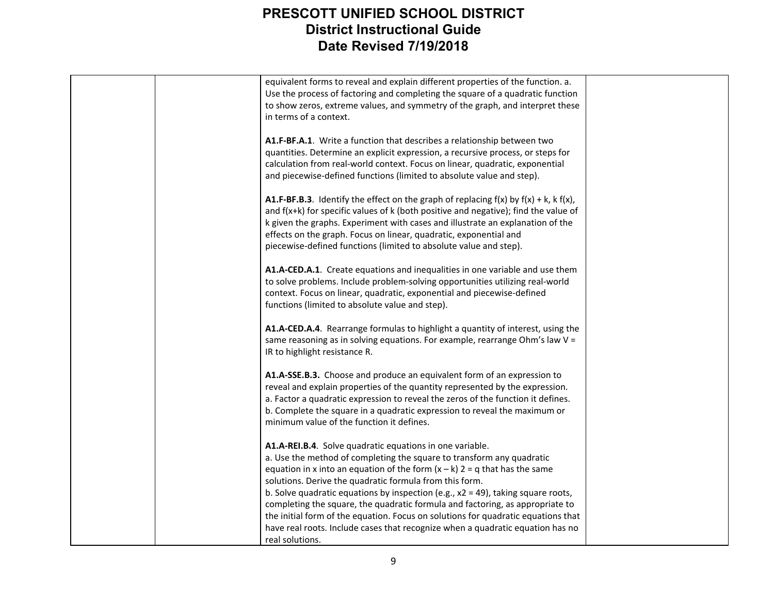|  | equivalent forms to reveal and explain different properties of the function. a.              |  |
|--|----------------------------------------------------------------------------------------------|--|
|  | Use the process of factoring and completing the square of a quadratic function               |  |
|  |                                                                                              |  |
|  | to show zeros, extreme values, and symmetry of the graph, and interpret these                |  |
|  | in terms of a context.                                                                       |  |
|  |                                                                                              |  |
|  | A1.F-BF.A.1. Write a function that describes a relationship between two                      |  |
|  |                                                                                              |  |
|  | quantities. Determine an explicit expression, a recursive process, or steps for              |  |
|  | calculation from real-world context. Focus on linear, quadratic, exponential                 |  |
|  | and piecewise-defined functions (limited to absolute value and step).                        |  |
|  |                                                                                              |  |
|  |                                                                                              |  |
|  | A1.F-BF.B.3. Identify the effect on the graph of replacing $f(x)$ by $f(x) + k$ , k $f(x)$ , |  |
|  | and $f(x+k)$ for specific values of k (both positive and negative); find the value of        |  |
|  | k given the graphs. Experiment with cases and illustrate an explanation of the               |  |
|  | effects on the graph. Focus on linear, quadratic, exponential and                            |  |
|  | piecewise-defined functions (limited to absolute value and step).                            |  |
|  |                                                                                              |  |
|  |                                                                                              |  |
|  | A1.A-CED.A.1. Create equations and inequalities in one variable and use them                 |  |
|  | to solve problems. Include problem-solving opportunities utilizing real-world                |  |
|  | context. Focus on linear, quadratic, exponential and piecewise-defined                       |  |
|  | functions (limited to absolute value and step).                                              |  |
|  |                                                                                              |  |
|  |                                                                                              |  |
|  | A1.A-CED.A.4. Rearrange formulas to highlight a quantity of interest, using the              |  |
|  | same reasoning as in solving equations. For example, rearrange Ohm's law V =                 |  |
|  | IR to highlight resistance R.                                                                |  |
|  |                                                                                              |  |
|  | A1.A-SSE.B.3. Choose and produce an equivalent form of an expression to                      |  |
|  |                                                                                              |  |
|  | reveal and explain properties of the quantity represented by the expression.                 |  |
|  | a. Factor a quadratic expression to reveal the zeros of the function it defines.             |  |
|  | b. Complete the square in a quadratic expression to reveal the maximum or                    |  |
|  | minimum value of the function it defines.                                                    |  |
|  |                                                                                              |  |
|  |                                                                                              |  |
|  | A1.A-REI.B.4. Solve quadratic equations in one variable.                                     |  |
|  | a. Use the method of completing the square to transform any quadratic                        |  |
|  | equation in x into an equation of the form $(x - k)$ 2 = q that has the same                 |  |
|  | solutions. Derive the quadratic formula from this form.                                      |  |
|  | b. Solve quadratic equations by inspection (e.g., $x2 = 49$ ), taking square roots,          |  |
|  | completing the square, the quadratic formula and factoring, as appropriate to                |  |
|  |                                                                                              |  |
|  | the initial form of the equation. Focus on solutions for quadratic equations that            |  |
|  | have real roots. Include cases that recognize when a quadratic equation has no               |  |
|  | real solutions.                                                                              |  |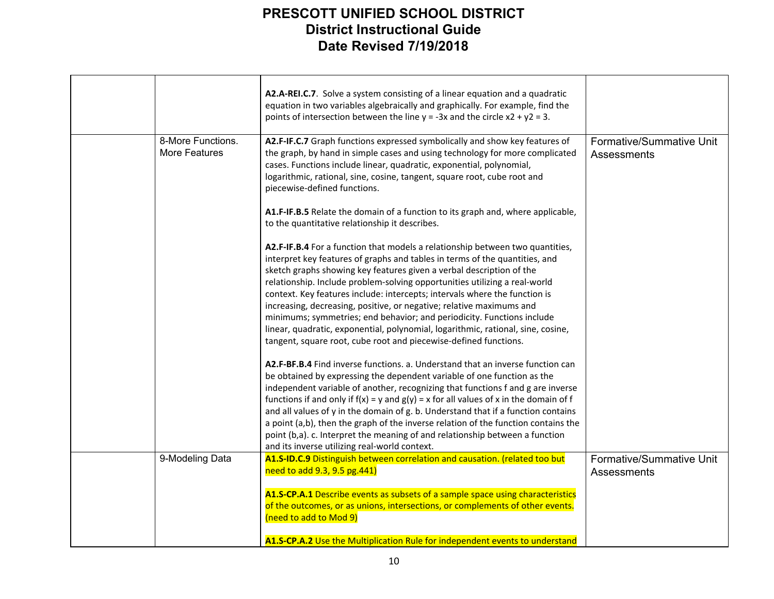|                                    | A2.A-REI.C.7. Solve a system consisting of a linear equation and a quadratic<br>equation in two variables algebraically and graphically. For example, find the<br>points of intersection between the line $y = -3x$ and the circle $x^2 + y^2 = 3$ .                                                                                                                                                                                                                                                                                                                                                                                                                                                                                                                                                                                                                                                                                                                                                                                                                                                                                         |                                         |
|------------------------------------|----------------------------------------------------------------------------------------------------------------------------------------------------------------------------------------------------------------------------------------------------------------------------------------------------------------------------------------------------------------------------------------------------------------------------------------------------------------------------------------------------------------------------------------------------------------------------------------------------------------------------------------------------------------------------------------------------------------------------------------------------------------------------------------------------------------------------------------------------------------------------------------------------------------------------------------------------------------------------------------------------------------------------------------------------------------------------------------------------------------------------------------------|-----------------------------------------|
| 8-More Functions.<br>More Features | A2.F-IF.C.7 Graph functions expressed symbolically and show key features of<br>the graph, by hand in simple cases and using technology for more complicated<br>cases. Functions include linear, quadratic, exponential, polynomial,<br>logarithmic, rational, sine, cosine, tangent, square root, cube root and<br>piecewise-defined functions.                                                                                                                                                                                                                                                                                                                                                                                                                                                                                                                                                                                                                                                                                                                                                                                              | Formative/Summative Unit<br>Assessments |
|                                    | A1.F-IF.B.5 Relate the domain of a function to its graph and, where applicable,<br>to the quantitative relationship it describes.                                                                                                                                                                                                                                                                                                                                                                                                                                                                                                                                                                                                                                                                                                                                                                                                                                                                                                                                                                                                            |                                         |
|                                    | A2.F-IF.B.4 For a function that models a relationship between two quantities,<br>interpret key features of graphs and tables in terms of the quantities, and<br>sketch graphs showing key features given a verbal description of the<br>relationship. Include problem-solving opportunities utilizing a real-world<br>context. Key features include: intercepts; intervals where the function is<br>increasing, decreasing, positive, or negative; relative maximums and<br>minimums; symmetries; end behavior; and periodicity. Functions include<br>linear, quadratic, exponential, polynomial, logarithmic, rational, sine, cosine,<br>tangent, square root, cube root and piecewise-defined functions.<br>A2.F-BF.B.4 Find inverse functions. a. Understand that an inverse function can<br>be obtained by expressing the dependent variable of one function as the<br>independent variable of another, recognizing that functions f and g are inverse<br>functions if and only if $f(x) = y$ and $g(y) = x$ for all values of x in the domain of f<br>and all values of y in the domain of g. b. Understand that if a function contains |                                         |
|                                    | a point (a,b), then the graph of the inverse relation of the function contains the<br>point (b,a). c. Interpret the meaning of and relationship between a function<br>and its inverse utilizing real-world context.                                                                                                                                                                                                                                                                                                                                                                                                                                                                                                                                                                                                                                                                                                                                                                                                                                                                                                                          |                                         |
| 9-Modeling Data                    | A1.S-ID.C.9 Distinguish between correlation and causation. (related too but<br>need to add 9.3, 9.5 pg.441)                                                                                                                                                                                                                                                                                                                                                                                                                                                                                                                                                                                                                                                                                                                                                                                                                                                                                                                                                                                                                                  | Formative/Summative Unit<br>Assessments |
|                                    | A1.S-CP.A.1 Describe events as subsets of a sample space using characteristics<br>of the outcomes, or as unions, intersections, or complements of other events.<br>(need to add to Mod 9)                                                                                                                                                                                                                                                                                                                                                                                                                                                                                                                                                                                                                                                                                                                                                                                                                                                                                                                                                    |                                         |
|                                    | A1.S-CP.A.2 Use the Multiplication Rule for independent events to understand                                                                                                                                                                                                                                                                                                                                                                                                                                                                                                                                                                                                                                                                                                                                                                                                                                                                                                                                                                                                                                                                 |                                         |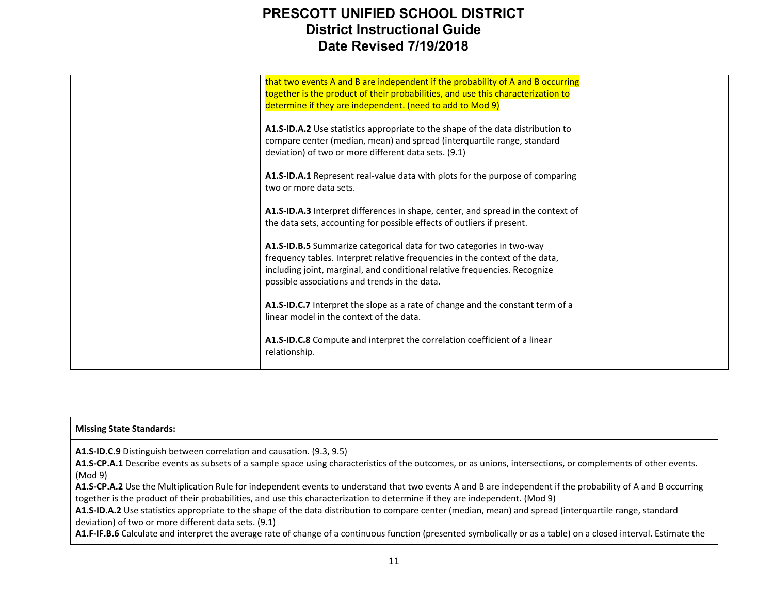|  | that two events A and B are independent if the probability of A and B occurring<br>together is the product of their probabilities, and use this characterization to<br>determine if they are independent. (need to add to Mod 9)                                                    |  |
|--|-------------------------------------------------------------------------------------------------------------------------------------------------------------------------------------------------------------------------------------------------------------------------------------|--|
|  | A1.S-ID.A.2 Use statistics appropriate to the shape of the data distribution to<br>compare center (median, mean) and spread (interquartile range, standard<br>deviation) of two or more different data sets. (9.1)                                                                  |  |
|  | A1.S-ID.A.1 Represent real-value data with plots for the purpose of comparing<br>two or more data sets.                                                                                                                                                                             |  |
|  | A1.S-ID.A.3 Interpret differences in shape, center, and spread in the context of<br>the data sets, accounting for possible effects of outliers if present.                                                                                                                          |  |
|  | A1.S-ID.B.5 Summarize categorical data for two categories in two-way<br>frequency tables. Interpret relative frequencies in the context of the data,<br>including joint, marginal, and conditional relative frequencies. Recognize<br>possible associations and trends in the data. |  |
|  | A1.S-ID.C.7 Interpret the slope as a rate of change and the constant term of a<br>linear model in the context of the data.                                                                                                                                                          |  |
|  | A1.S-ID.C.8 Compute and interpret the correlation coefficient of a linear<br>relationship.                                                                                                                                                                                          |  |

#### **Missing State Standards:**

**A1.S-ID.C.9** Distinguish between correlation and causation. (9.3, 9.5)

**A1.S-CP.A.1** Describe events as subsets of a sample space using characteristics of the outcomes, or as unions, intersections, or complements of other events. (Mod 9)

**A1.S-CP.A.2** Use the Multiplication Rule for independent events to understand that two events A and B are independent if the probability of A and B occurring together is the product of their probabilities, and use this characterization to determine if they are independent. (Mod 9)

**A1.S-ID.A.2** Use statistics appropriate to the shape of the data distribution to compare center (median, mean) and spread (interquartile range, standard deviation) of two or more different data sets. (9.1)

**A1.F-IF.B.6** Calculate and interpret the average rate of change of a continuous function (presented symbolically or as a table) on a closed interval. Estimate the